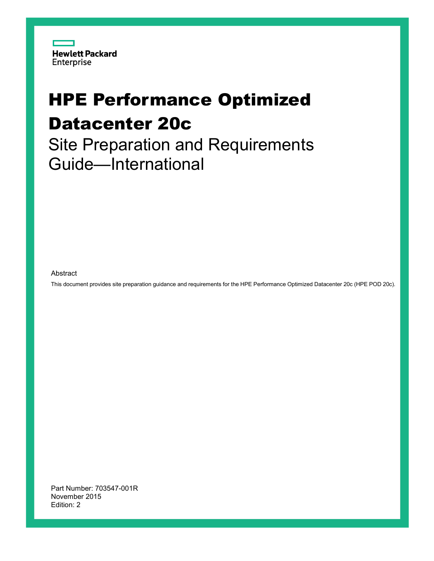

# HPE Performance Optimized Datacenter 20c

Site Preparation and Requirements Guide—International

Abstract

This document provides site preparation guidance and requirements for the HPE Performance Optimized Datacenter 20c (HPE POD 20c).

Part Number: 703547-001R November 2015 Edition: 2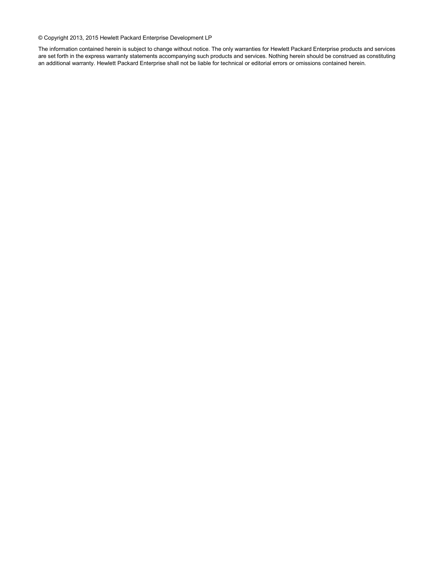© Copyright 2013, 2015 Hewlett Packard Enterprise Development LP

The information contained herein is subject to change without notice. The only warranties for Hewlett Packard Enterprise products and services are set forth in the express warranty statements accompanying such products and services. Nothing herein should be construed as constituting an additional warranty. Hewlett Packard Enterprise shall not be liable for technical or editorial errors or omissions contained herein.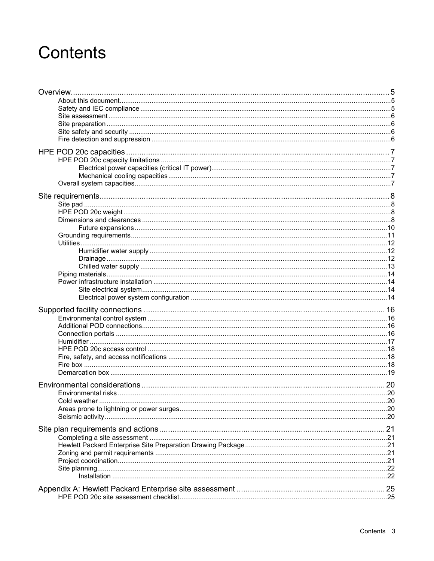# **Contents**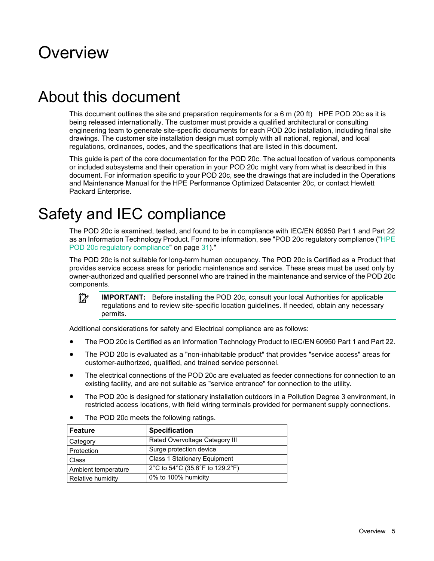## <span id="page-4-0"></span>Overview

## About this document

This document outlines the site and preparation requirements for a 6 m (20 ft) HPE POD 20c as it is being released internationally. The customer must provide a qualified architectural or consulting engineering team to generate site-specific documents for each POD 20c installation, including final site drawings. The customer site installation design must comply with all national, regional, and local regulations, ordinances, codes, and the specifications that are listed in this document.

This guide is part of the core documentation for the POD 20c. The actual location of various components or included subsystems and their operation in your POD 20c might vary from what is described in this document. For information specific to your POD 20c, see the drawings that are included in the Operations and Maintenance Manual for the HPE Performance Optimized Datacenter 20c, or contact Hewlett Packard Enterprise.

## Safety and IEC compliance

The POD 20c is examined, tested, and found to be in compliance with IEC/EN 60950 Part 1 and Part 22 as an Information Technology Product. For more information, see "POD 20c regulatory compliance (["HPE](#page-30-1)  [POD 20c regulatory compliance"](#page-30-1) on page [31\)](#page-30-1)."

The POD 20c is not suitable for long-term human occupancy. The POD 20c is Certified as a Product that provides service access areas for periodic maintenance and service. These areas must be used only by owner-authorized and qualified personnel who are trained in the maintenance and service of the POD 20c components.

 $\mathbb{I}^{\mathbb{Z}}$ **IMPORTANT:** Before installing the POD 20c, consult your local Authorities for applicable regulations and to review site-specific location guidelines. If needed, obtain any necessary permits.

Additional considerations for safety and Electrical compliance are as follows:

- The POD 20c is Certified as an Information Technology Product to IEC/EN 60950 Part 1 and Part 22.
- The POD 20c is evaluated as a "non-inhabitable product" that provides "service access" areas for customer-authorized, qualified, and trained service personnel.
- The electrical connections of the POD 20c are evaluated as feeder connections for connection to an existing facility, and are not suitable as "service entrance" for connection to the utility.
- The POD 20c is designed for stationary installation outdoors in a Pollution Degree 3 environment, in restricted access locations, with field wiring terminals provided for permanent supply connections.

| <b>Feature</b>      | <b>Specification</b>                |
|---------------------|-------------------------------------|
| Category            | Rated Overvoltage Category III      |
| Protection          | Surge protection device             |
| Class               | <b>Class 1 Stationary Equipment</b> |
| Ambient temperature | 2°C to 54°C (35.6°F to 129.2°F)     |
| Relative humidity   | 0% to 100% humidity                 |

The POD 20c meets the following ratings.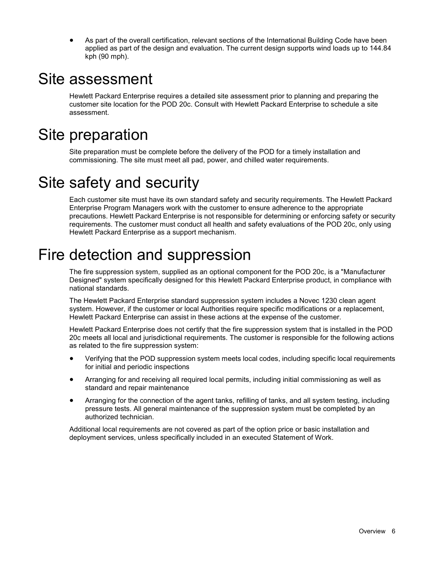• As part of the overall certification, relevant sections of the International Building Code have been applied as part of the design and evaluation. The current design supports wind loads up to 144.84 kph (90 mph).

## <span id="page-5-0"></span>Site assessment

Hewlett Packard Enterprise requires a detailed site assessment prior to planning and preparing the customer site location for the POD 20c. Consult with Hewlett Packard Enterprise to schedule a site assessment.

## Site preparation

Site preparation must be complete before the delivery of the POD for a timely installation and commissioning. The site must meet all pad, power, and chilled water requirements.

## Site safety and security

Each customer site must have its own standard safety and security requirements. The Hewlett Packard Enterprise Program Managers work with the customer to ensure adherence to the appropriate precautions. Hewlett Packard Enterprise is not responsible for determining or enforcing safety or security requirements. The customer must conduct all health and safety evaluations of the POD 20c, only using Hewlett Packard Enterprise as a support mechanism.

## Fire detection and suppression

The fire suppression system, supplied as an optional component for the POD 20c, is a "Manufacturer Designed" system specifically designed for this Hewlett Packard Enterprise product, in compliance with national standards.

The Hewlett Packard Enterprise standard suppression system includes a Novec 1230 clean agent system. However, if the customer or local Authorities require specific modifications or a replacement, Hewlett Packard Enterprise can assist in these actions at the expense of the customer.

Hewlett Packard Enterprise does not certify that the fire suppression system that is installed in the POD 20c meets all local and jurisdictional requirements. The customer is responsible for the following actions as related to the fire suppression system:

- Verifying that the POD suppression system meets local codes, including specific local requirements for initial and periodic inspections
- Arranging for and receiving all required local permits, including initial commissioning as well as standard and repair maintenance
- Arranging for the connection of the agent tanks, refilling of tanks, and all system testing, including pressure tests. All general maintenance of the suppression system must be completed by an authorized technician.

Additional local requirements are not covered as part of the option price or basic installation and deployment services, unless specifically included in an executed Statement of Work.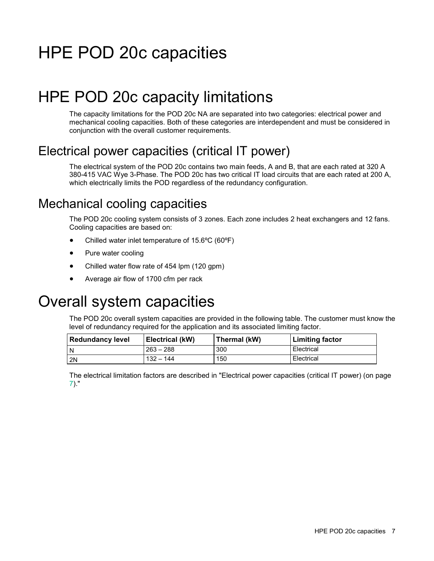# <span id="page-6-0"></span>HPE POD 20c capacities

## HPE POD 20c capacity limitations

The capacity limitations for the POD 20c NA are separated into two categories: electrical power and mechanical cooling capacities. Both of these categories are interdependent and must be considered in conjunction with the overall customer requirements.

## <span id="page-6-1"></span>Electrical power capacities (critical IT power)

The electrical system of the POD 20c contains two main feeds, A and B, that are each rated at 320 A 380-415 VAC Wye 3-Phase. The POD 20c has two critical IT load circuits that are each rated at 200 A, which electrically limits the POD regardless of the redundancy configuration.

## Mechanical cooling capacities

The POD 20c cooling system consists of 3 zones. Each zone includes 2 heat exchangers and 12 fans. Cooling capacities are based on:

- Chilled water inlet temperature of 15.6°C (60°F)
- Pure water cooling
- Chilled water flow rate of 454 lpm (120 gpm)
- Average air flow of 1700 cfm per rack

## Overall system capacities

The POD 20c overall system capacities are provided in the following table. The customer must know the level of redundancy required for the application and its associated limiting factor.

| <b>Redundancy level</b> | Electrical (kW) | Thermal (kW) | <b>Limiting factor</b> |
|-------------------------|-----------------|--------------|------------------------|
| I N                     | $263 - 288$     | 300          | Electrical             |
| 2N                      | $132 - 144$     | 150          | Electrical             |

The electrical limitation factors are described in "Electrical power capacities (critical IT power) (on page [7\)](#page-6-1)."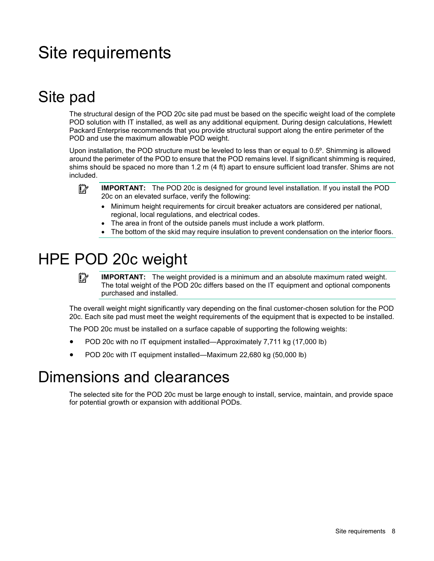# <span id="page-7-2"></span><span id="page-7-0"></span>Site requirements

## Site pad

The structural design of the POD 20c site pad must be based on the specific weight load of the complete POD solution with IT installed, as well as any additional equipment. During design calculations, Hewlett Packard Enterprise recommends that you provide structural support along the entire perimeter of the POD and use the maximum allowable POD weight.

Upon installation, the POD structure must be leveled to less than or equal to 0.5º. Shimming is allowed around the perimeter of the POD to ensure that the POD remains level. If significant shimming is required, shims should be spaced no more than 1.2 m (4 ft) apart to ensure sufficient load transfer. Shims are not included.

 $\mathbb{I}^n$ **IMPORTANT:** The POD 20c is designed for ground level installation. If you install the POD 20c on an elevated surface, verify the following:

- Minimum height requirements for circuit breaker actuators are considered per national, regional, local regulations, and electrical codes.
- The area in front of the outside panels must include a work platform.
- The bottom of the skid may require insulation to prevent condensation on the interior floors.

## HPE POD 20c weight

 $\mathbb{I}^n$ **IMPORTANT:** The weight provided is a minimum and an absolute maximum rated weight. The total weight of the POD 20c differs based on the IT equipment and optional components purchased and installed.

The overall weight might significantly vary depending on the final customer-chosen solution for the POD 20c. Each site pad must meet the weight requirements of the equipment that is expected to be installed.

The POD 20c must be installed on a surface capable of supporting the following weights:

- POD 20c with no IT equipment installed—Approximately 7,711 kg (17,000 lb)
- POD 20c with IT equipment installed—Maximum 22,680 kg (50,000 lb)

## <span id="page-7-1"></span>Dimensions and clearances

The selected site for the POD 20c must be large enough to install, service, maintain, and provide space for potential growth or expansion with additional PODs.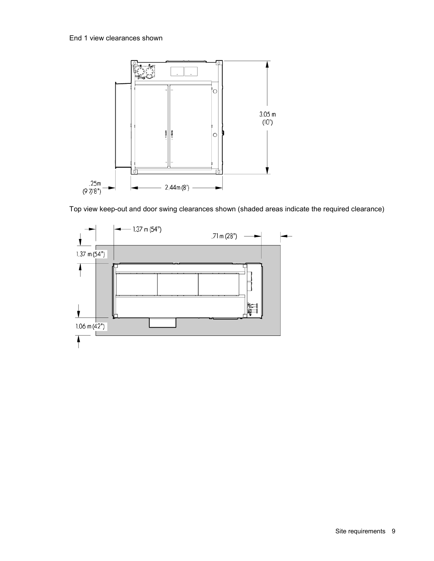

Top view keep-out and door swing clearances shown (shaded areas indicate the required clearance)

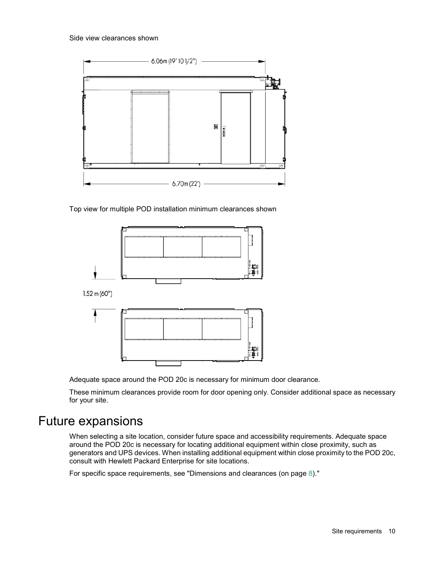<span id="page-9-0"></span>

Top view for multiple POD installation minimum clearances shown



Adequate space around the POD 20c is necessary for minimum door clearance.

These minimum clearances provide room for door opening only. Consider additional space as necessary for your site.

### Future expansions

When selecting a site location, consider future space and accessibility requirements. Adequate space around the POD 20c is necessary for locating additional equipment within close proximity, such as generators and UPS devices. When installing additional equipment within close proximity to the POD 20c, consult with Hewlett Packard Enterprise for site locations.

For specific space requirements, see "Dimensions and clearances (on page [8\)](#page-7-1)."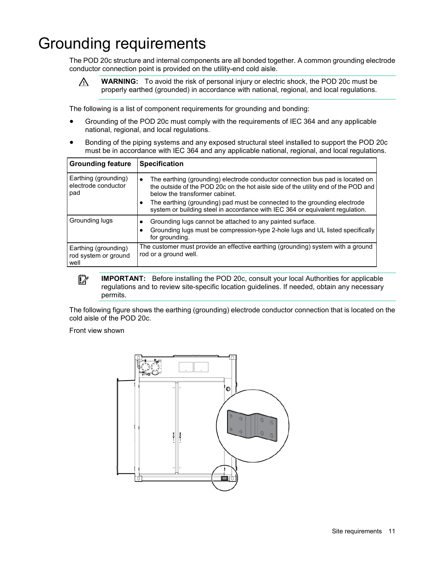## <span id="page-10-0"></span>Grounding requirements

The POD 20c structure and internal components are all bonded together. A common grounding electrode conductor connection point is provided on the utility-end cold aisle.

 $\triangle$ 

**WARNING:** To avoid the risk of personal injury or electric shock, the POD 20c must be properly earthed (grounded) in accordance with national, regional, and local regulations.

The following is a list of component requirements for grounding and bonding:

- Grounding of the POD 20c must comply with the requirements of IEC 364 and any applicable national, regional, and local regulations.
- Bonding of the piping systems and any exposed structural steel installed to support the POD 20c must be in accordance with IEC 364 and any applicable national, regional, and local regulations.

| <b>Grounding feature</b>                             | <b>Specification</b>                                                                                                                                                                                                                                                                                                                                                             |
|------------------------------------------------------|----------------------------------------------------------------------------------------------------------------------------------------------------------------------------------------------------------------------------------------------------------------------------------------------------------------------------------------------------------------------------------|
| Earthing (grounding)<br>electrode conductor<br>pad   | The earthing (grounding) electrode conductor connection bus pad is located on<br>$\bullet$<br>the outside of the POD 20c on the hot aisle side of the utility end of the POD and<br>below the transformer cabinet.<br>The earthing (grounding) pad must be connected to the grounding electrode<br>system or building steel in accordance with IEC 364 or equivalent regulation. |
| Grounding lugs                                       | Grounding lugs cannot be attached to any painted surface.<br>Grounding lugs must be compression-type 2-hole lugs and UL listed specifically<br>for grounding.                                                                                                                                                                                                                    |
| Earthing (grounding)<br>rod system or ground<br>well | The customer must provide an effective earthing (grounding) system with a ground<br>rod or a ground well.                                                                                                                                                                                                                                                                        |



**IMPORTANT:** Before installing the POD 20c, consult your local Authorities for applicable regulations and to review site-specific location guidelines. If needed, obtain any necessary permits.

The following figure shows the earthing (grounding) electrode conductor connection that is located on the cold aisle of the POD 20c.

Front view shown

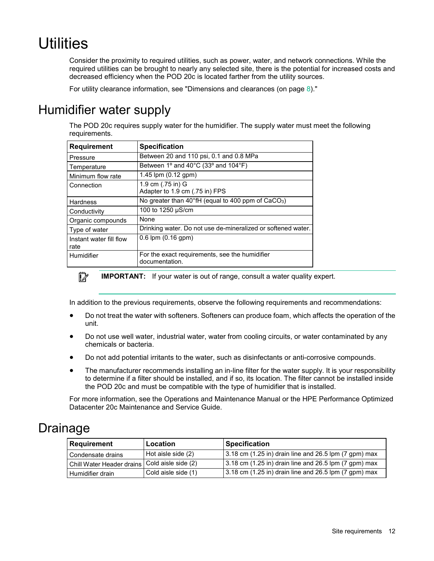# <span id="page-11-0"></span>Utilities

Consider the proximity to required utilities, such as power, water, and network connections. While the required utilities can be brought to nearly any selected site, there is the potential for increased costs and decreased efficiency when the POD 20c is located farther from the utility sources.

For utility clearance information, see "Dimensions and clearances (on page [8\)](#page-7-1)."

## Humidifier water supply

The POD 20c requires supply water for the humidifier. The supply water must meet the following requirements.

| Requirement                     | <b>Specification</b>                                                     |
|---------------------------------|--------------------------------------------------------------------------|
| Pressure                        | Between 20 and 110 psi, 0.1 and 0.8 MPa                                  |
| Temperature                     | Between 1° and 40 $^{\circ}$ C (33° and 104 $^{\circ}$ F)                |
| Minimum flow rate               | 1.45 lpm (0.12 gpm)                                                      |
| Connection                      | 1.9 cm (.75 in) G<br>Adapter to 1.9 cm (.75 in) FPS                      |
| Hardness                        | No greater than $40^{\circ}$ fH (equal to 400 ppm of CaCO <sub>3</sub> ) |
| Conductivity                    | 100 to 1250 µS/cm                                                        |
| Organic compounds               | None                                                                     |
| Type of water                   | Drinking water. Do not use de-mineralized or softened water.             |
| Instant water fill flow<br>rate | $0.6$ lpm $(0.16$ gpm $)$                                                |
| Humidifier                      | For the exact requirements, see the humidifier<br>documentation.         |



**IMPORTANT:** If your water is out of range, consult a water quality expert.

In addition to the previous requirements, observe the following requirements and recommendations:

- Do not treat the water with softeners. Softeners can produce foam, which affects the operation of the unit.
- Do not use well water, industrial water, water from cooling circuits, or water contaminated by any chemicals or bacteria.
- Do not add potential irritants to the water, such as disinfectants or anti-corrosive compounds.
- The manufacturer recommends installing an in-line filter for the water supply. It is your responsibility to determine if a filter should be installed, and if so, its location. The filter cannot be installed inside the POD 20c and must be compatible with the type of humidifier that is installed.

For more information, see the Operations and Maintenance Manual or the HPE Performance Optimized Datacenter 20c Maintenance and Service Guide.

## Drainage

| Requirement               | Location            | <b>Specification</b>                                    |
|---------------------------|---------------------|---------------------------------------------------------|
| Condensate drains         | Hot aisle side (2)  | $3.18$ cm (1.25 in) drain line and 26.5 lpm (7 gpm) max |
| Chill Water Header drains | Cold aisle side (2) | $3.18$ cm (1.25 in) drain line and 26.5 lpm (7 gpm) max |
| Humidifier drain          | Cold aisle side (1) | 3.18 cm (1.25 in) drain line and 26.5 lpm (7 gpm) max   |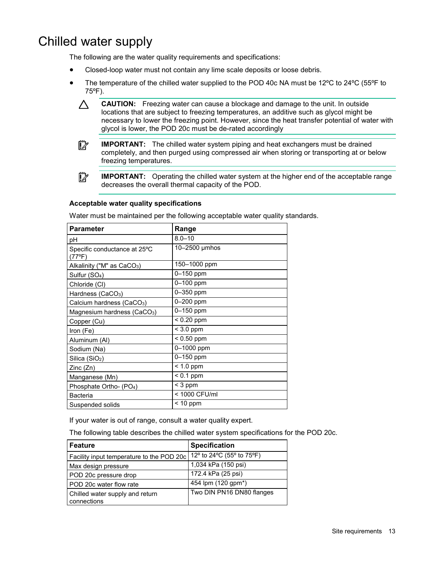## <span id="page-12-0"></span>Chilled water supply

The following are the water quality requirements and specifications:

- Closed-loop water must not contain any lime scale deposits or loose debris.
- The temperature of the chilled water supplied to the POD 40c NA must be 12ºC to 24ºC (55ºF to 75ºF).
	- Δ **CAUTION:** Freezing water can cause a blockage and damage to the unit. In outside locations that are subject to freezing temperatures, an additive such as glycol might be necessary to lower the freezing point. However, since the heat transfer potential of water with glycol is lower, the POD 20c must be de-rated accordingly
	- **IMPORTANT:** The chilled water system piping and heat exchangers must be drained  $\mathbb{I}\mathbb{X}$ completely, and then purged using compressed air when storing or transporting at or below freezing temperatures.
	- $\mathbb{I}\mathbb{X}$

**IMPORTANT:** Operating the chilled water system at the higher end of the acceptable range decreases the overall thermal capacity of the POD.

#### **Acceptable water quality specifications**

Water must be maintained per the following acceptable water quality standards.

| <b>Parameter</b>                                | Range         |
|-------------------------------------------------|---------------|
| рH                                              | $8.0 - 10$    |
| Specific conductance at 25°C<br>$(77^{\circ}F)$ | 10-2500 µmhos |
| Alkalinity ("M" as $CaCO3$ )                    | 150–1000 ppm  |
| Sulfur (SO <sub>4</sub> )                       | 0-150 ppm     |
| Chloride (CI)                                   | 0-100 ppm     |
| Hardness (CaCO <sub>3</sub> )                   | 0-350 ppm     |
| Calcium hardness (CaCO <sub>3</sub> )           | $0 - 200$ ppm |
| Magnesium hardness (CaCO <sub>3</sub> )         | 0-150 ppm     |
| Copper (Cu)                                     | $< 0.20$ ppm  |
| Iron (Fe)                                       | $< 3.0$ ppm   |
| Aluminum (Al)                                   | $< 0.50$ ppm  |
| Sodium (Na)                                     | 0-1000 ppm    |
| Silica $(SiO2)$                                 | 0-150 ppm     |
| Zinc (Zn)                                       | $< 1.0$ ppm   |
| Manganese (Mn)                                  | $< 0.1$ ppm   |
| Phosphate Ortho- (PO <sub>4</sub> )             | $<$ 3 ppm     |
| Bacteria                                        | < 1000 CFU/ml |
| Suspended solids                                | $< 10$ ppm    |

If your water is out of range, consult a water quality expert.

The following table describes the chilled water system specifications for the POD 20c.

| Feature                                        | <b>Specification</b>      |
|------------------------------------------------|---------------------------|
| Facility input temperature to the POD 20c      | 12° to 24°C (55° to 75°F) |
| Max design pressure                            | 1,034 kPa (150 psi)       |
| POD 20c pressure drop                          | 172.4 kPa (25 psi)        |
| l POD 20c water flow rate                      | 454 lpm (120 gpm*)        |
| Chilled water supply and return<br>connections | Two DIN PN16 DN80 flanges |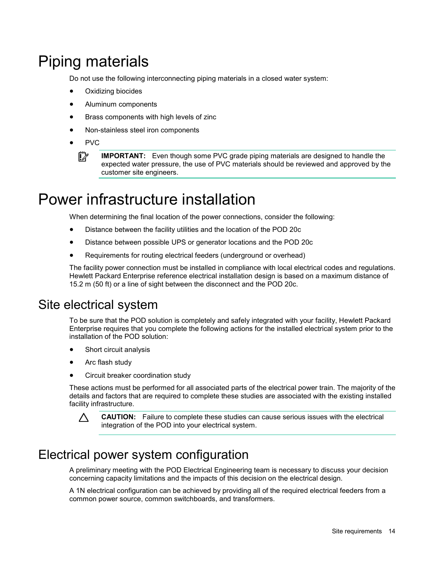# <span id="page-13-0"></span>Piping materials

Do not use the following interconnecting piping materials in a closed water system:

- Oxidizing biocides
- Aluminum components
- Brass components with high levels of zinc
- Non-stainless steel iron components
- PVC  $\mathbb{I}\mathbb{X}$

**IMPORTANT:** Even though some PVC grade piping materials are designed to handle the expected water pressure, the use of PVC materials should be reviewed and approved by the customer site engineers.

## Power infrastructure installation

When determining the final location of the power connections, consider the following:

- Distance between the facility utilities and the location of the POD 20c
- Distance between possible UPS or generator locations and the POD 20c
- Requirements for routing electrical feeders (underground or overhead)

The facility power connection must be installed in compliance with local electrical codes and regulations. Hewlett Packard Enterprise reference electrical installation design is based on a maximum distance of 15.2 m (50 ft) or a line of sight between the disconnect and the POD 20c.

### Site electrical system

To be sure that the POD solution is completely and safely integrated with your facility, Hewlett Packard Enterprise requires that you complete the following actions for the installed electrical system prior to the installation of the POD solution:

- Short circuit analysis
- Arc flash study
- Circuit breaker coordination study

These actions must be performed for all associated parts of the electrical power train. The majority of the details and factors that are required to complete these studies are associated with the existing installed facility infrastructure.



**CAUTION:** Failure to complete these studies can cause serious issues with the electrical integration of the POD into your electrical system.

## Electrical power system configuration

A preliminary meeting with the POD Electrical Engineering team is necessary to discuss your decision concerning capacity limitations and the impacts of this decision on the electrical design.

A 1N electrical configuration can be achieved by providing all of the required electrical feeders from a common power source, common switchboards, and transformers.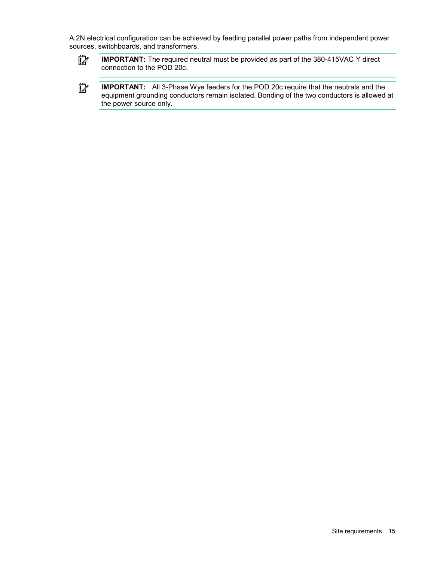A 2N electrical configuration can be achieved by feeding parallel power paths from independent power sources, switchboards, and transformers.



**IMPORTANT:** The required neutral must be provided as part of the 380-415VAC Y direct connection to the POD 20c.

 $\mathbb{Z}^2$ **IMPORTANT:** All 3-Phase Wye feeders for the POD 20c require that the neutrals and the equipment grounding conductors remain isolated. Bonding of the two conductors is allowed at the power source only.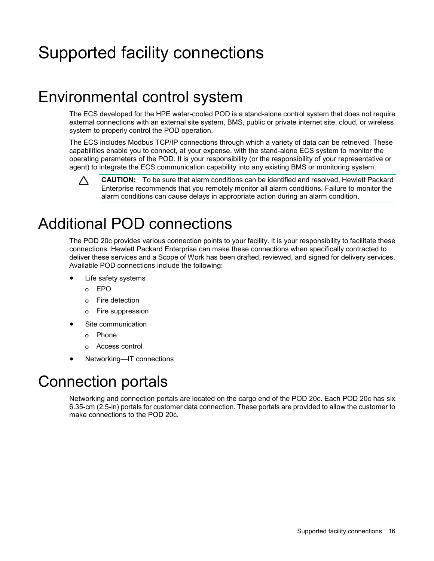# <span id="page-15-0"></span>Supported facility connections

## Environmental control system

The ECS developed for the HPE water-cooled POD is a stand-alone control system that does not require external connections with an external site system, BMS, public or private internet site, cloud, or wireless system to properly control the POD operation.

The ECS includes Modbus TCP/IP connections through which a variety of data can be retrieved. These capabilities enable you to connect, at your expense, with the stand-alone ECS system to monitor the operating parameters of the POD. It is your responsibility (or the responsibility of your representative or agent) to integrate the ECS communication capability into any existing BMS or monitoring system.



## Additional POD connections

The POD 20c provides various connection points to your facility. It is your responsibility to facilitate these connections. Hewlett Packard Enterprise can make these connections when specifically contracted to deliver these services and a Scope of Work has been drafted, reviewed, and signed for delivery services. Available POD connections include the following:

- Life safety systems
	- o EPO
	- o Fire detection
	- o Fire suppression
- Site communication
	- o Phone
	- o Access control
- Networking—IT connections

## Connection portals

Networking and connection portals are located on the cargo end of the POD 20c. Each POD 20c has six 6.35-cm (2.5-in) portals for customer data connection. These portals are provided to allow the customer to make connections to the POD 20c.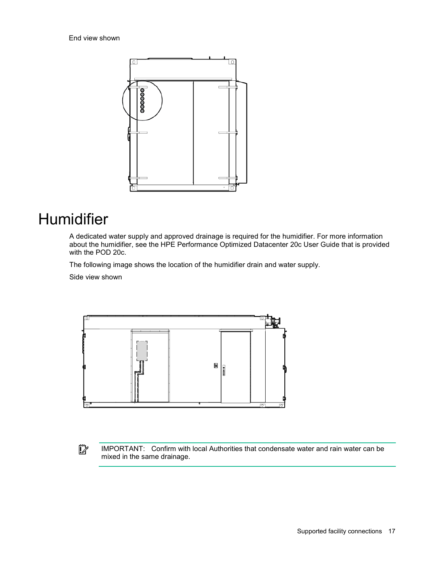<span id="page-16-0"></span>

## Humidifier

A dedicated water supply and approved drainage is required for the humidifier. For more information about the humidifier, see the HPE Performance Optimized Datacenter 20c User Guide that is provided with the POD 20c.

The following image shows the location of the humidifier drain and water supply.

Side view shown



 $\mathbb{Z}$ 

IMPORTANT: Confirm with local Authorities that condensate water and rain water can be mixed in the same drainage.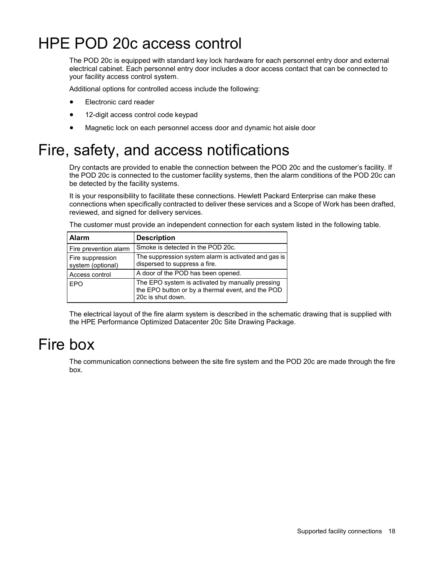## <span id="page-17-0"></span>HPE POD 20c access control

The POD 20c is equipped with standard key lock hardware for each personnel entry door and external electrical cabinet. Each personnel entry door includes a door access contact that can be connected to your facility access control system.

Additional options for controlled access include the following:

- Electronic card reader
- 12-digit access control code keypad
- Magnetic lock on each personnel access door and dynamic hot aisle door

## Fire, safety, and access notifications

Dry contacts are provided to enable the connection between the POD 20c and the customer's facility. If the POD 20c is connected to the customer facility systems, then the alarm conditions of the POD 20c can be detected by the facility systems.

It is your responsibility to facilitate these connections. Hewlett Packard Enterprise can make these connections when specifically contracted to deliver these services and a Scope of Work has been drafted, reviewed, and signed for delivery services.

The customer must provide an independent connection for each system listed in the following table.

| <b>Alarm</b>                          | <b>Description</b>                                                                                                         |
|---------------------------------------|----------------------------------------------------------------------------------------------------------------------------|
| Fire prevention alarm                 | Smoke is detected in the POD 20c.                                                                                          |
| Fire suppression<br>system (optional) | The suppression system alarm is activated and gas is<br>dispersed to suppress a fire.                                      |
| Access control                        | A door of the POD has been opened.                                                                                         |
| <b>EPO</b>                            | The EPO system is activated by manually pressing<br>the EPO button or by a thermal event, and the POD<br>20c is shut down. |

The electrical layout of the fire alarm system is described in the schematic drawing that is supplied with the HPE Performance Optimized Datacenter 20c Site Drawing Package.

## Fire box

The communication connections between the site fire system and the POD 20c are made through the fire box.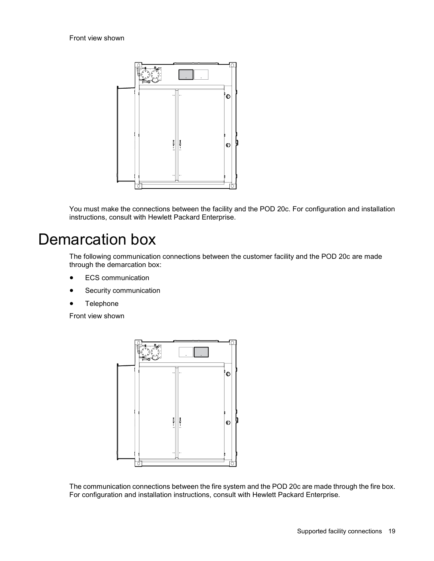<span id="page-18-0"></span>

You must make the connections between the facility and the POD 20c. For configuration and installation instructions, consult with Hewlett Packard Enterprise.

## Demarcation box

The following communication connections between the customer facility and the POD 20c are made through the demarcation box:

- ECS communication
- Security communication
- Telephone

Front view shown



The communication connections between the fire system and the POD 20c are made through the fire box. For configuration and installation instructions, consult with Hewlett Packard Enterprise.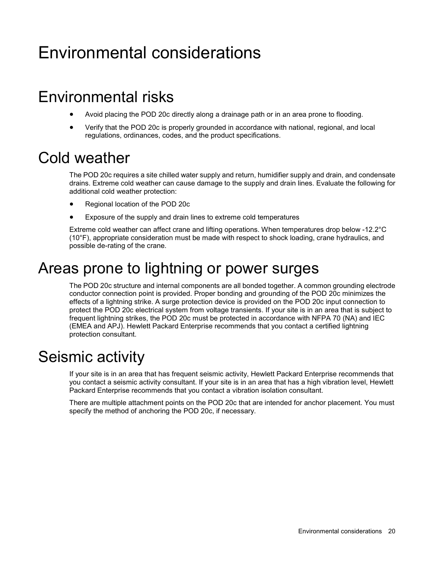# <span id="page-19-0"></span>Environmental considerations

## Environmental risks

- Avoid placing the POD 20c directly along a drainage path or in an area prone to flooding.
- Verify that the POD 20c is properly grounded in accordance with national, regional, and local regulations, ordinances, codes, and the product specifications.

## Cold weather

The POD 20c requires a site chilled water supply and return, humidifier supply and drain, and condensate drains. Extreme cold weather can cause damage to the supply and drain lines. Evaluate the following for additional cold weather protection:

- Regional location of the POD 20c
- Exposure of the supply and drain lines to extreme cold temperatures

Extreme cold weather can affect crane and lifting operations. When temperatures drop below -12.2°C (10°F), appropriate consideration must be made with respect to shock loading, crane hydraulics, and possible de-rating of the crane.

## Areas prone to lightning or power surges

The POD 20c structure and internal components are all bonded together. A common grounding electrode conductor connection point is provided. Proper bonding and grounding of the POD 20c minimizes the effects of a lightning strike. A surge protection device is provided on the POD 20c input connection to protect the POD 20c electrical system from voltage transients. If your site is in an area that is subject to frequent lightning strikes, the POD 20c must be protected in accordance with NFPA 70 (NA) and IEC (EMEA and APJ). Hewlett Packard Enterprise recommends that you contact a certified lightning protection consultant.

## Seismic activity

If your site is in an area that has frequent seismic activity, Hewlett Packard Enterprise recommends that you contact a seismic activity consultant. If your site is in an area that has a high vibration level, Hewlett Packard Enterprise recommends that you contact a vibration isolation consultant.

There are multiple attachment points on the POD 20c that are intended for anchor placement. You must specify the method of anchoring the POD 20c, if necessary.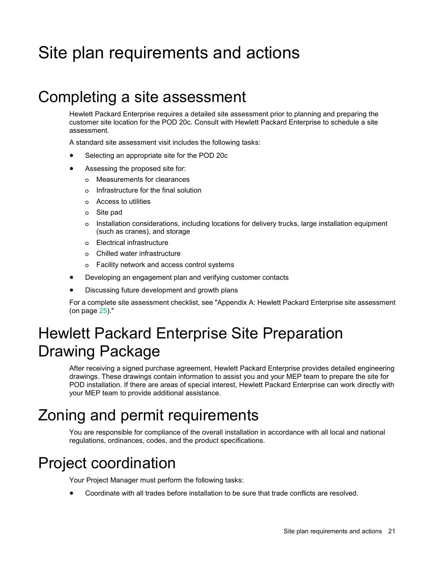# <span id="page-20-0"></span>Site plan requirements and actions

## Completing a site assessment

Hewlett Packard Enterprise requires a detailed site assessment prior to planning and preparing the customer site location for the POD 20c. Consult with Hewlett Packard Enterprise to schedule a site assessment.

A standard site assessment visit includes the following tasks:

- Selecting an appropriate site for the POD 20c
- Assessing the proposed site for:
	- o Measurements for clearances
	- o Infrastructure for the final solution
	- o Access to utilities
	- o Site pad
	- o Installation considerations, including locations for delivery trucks, large installation equipment (such as cranes), and storage
	- o Electrical infrastructure
	- o Chilled water infrastructure
	- o Facility network and access control systems
- Developing an engagement plan and verifying customer contacts
- Discussing future development and growth plans

For a complete site assessment checklist, see "Appendix A: Hewlett Packard Enterprise site assessment (on page [25\)](#page-24-1)."

## <span id="page-20-1"></span>Hewlett Packard Enterprise Site Preparation Drawing Package

After receiving a signed purchase agreement, Hewlett Packard Enterprise provides detailed engineering drawings. These drawings contain information to assist you and your MEP team to prepare the site for POD installation. If there are areas of special interest, Hewlett Packard Enterprise can work directly with your MEP team to provide additional assistance.

## Zoning and permit requirements

You are responsible for compliance of the overall installation in accordance with all local and national regulations, ordinances, codes, and the product specifications.

## Project coordination

Your Project Manager must perform the following tasks:

• Coordinate with all trades before installation to be sure that trade conflicts are resolved.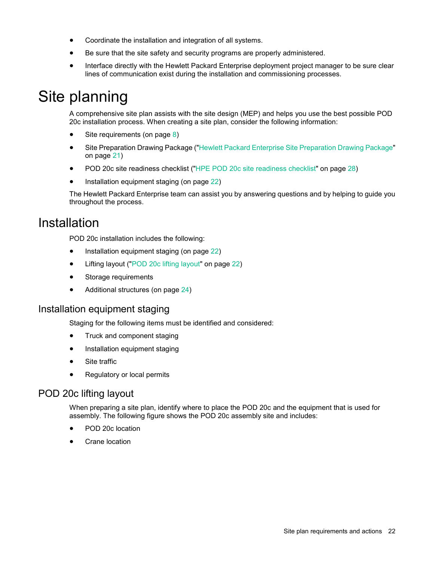- <span id="page-21-0"></span>• Coordinate the installation and integration of all systems.
- Be sure that the site safety and security programs are properly administered.
- Interface directly with the Hewlett Packard Enterprise deployment project manager to be sure clear lines of communication exist during the installation and commissioning processes.

## Site planning

A comprehensive site plan assists with the site design (MEP) and helps you use the best possible POD 20c installation process. When creating a site plan, consider the following information:

- Site requirements (on page [8\)](#page-7-2)
- Site Preparation Drawing Package (["Hewlett Packard Enterprise Site Preparation Drawing Package"](#page-20-1) on page [21\)](#page-20-1)
- POD 20c site readiness checklist (["HPE POD 20c site readiness checklist"](#page-27-1) on page [28\)](#page-27-1)
- Installation equipment staging (on page [22\)](#page-21-1)

The Hewlett Packard Enterprise team can assist you by answering questions and by helping to guide you throughout the process.

## Installation

POD 20c installation includes the following:

- Installation equipment staging (on page [22\)](#page-21-1)
- Lifting layout (["POD 20c lifting layout"](#page-21-2) on page [22\)](#page-21-2)
- Storage requirements
- Additional structures (on page [24\)](#page-23-0)

### <span id="page-21-1"></span>Installation equipment staging

Staging for the following items must be identified and considered:

- Truck and component staging
- Installation equipment staging
- Site traffic
- Regulatory or local permits

### <span id="page-21-2"></span>POD 20c lifting layout

When preparing a site plan, identify where to place the POD 20c and the equipment that is used for assembly. The following figure shows the POD 20c assembly site and includes:

- POD 20c location
- **Crane location**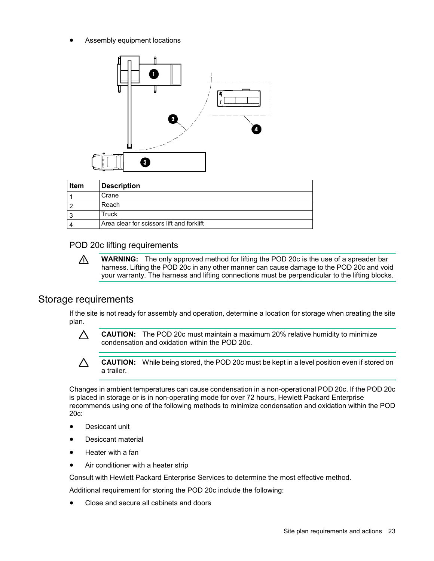Assembly equipment locations



| <b>Item</b> | <b>Description</b>                        |
|-------------|-------------------------------------------|
|             | Crane                                     |
|             | Reach                                     |
|             | Truck                                     |
|             | Area clear for scissors lift and forklift |

#### POD 20c lifting requirements

**WARNING:** The only approved method for lifting the POD 20c is the use of a spreader bar Λ. harness. Lifting the POD 20c in any other manner can cause damage to the POD 20c and void your warranty. The harness and lifting connections must be perpendicular to the lifting blocks.

### Storage requirements

If the site is not ready for assembly and operation, determine a location for storage when creating the site plan.



**CAUTION:** The POD 20c must maintain a maximum 20% relative humidity to minimize condensation and oxidation within the POD 20c.



**CAUTION:** While being stored, the POD 20c must be kept in a level position even if stored on a trailer.

Changes in ambient temperatures can cause condensation in a non-operational POD 20c. If the POD 20c is placed in storage or is in non-operating mode for over 72 hours, Hewlett Packard Enterprise recommends using one of the following methods to minimize condensation and oxidation within the POD 20c:

- Desiccant unit
- Desiccant material
- Heater with a fan
- Air conditioner with a heater strip

Consult with Hewlett Packard Enterprise Services to determine the most effective method.

Additional requirement for storing the POD 20c include the following:

• Close and secure all cabinets and doors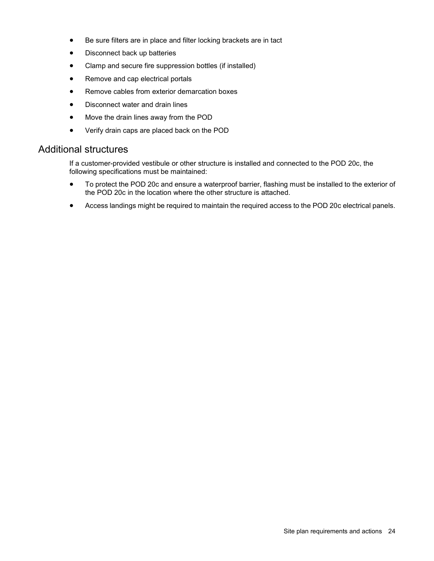- <span id="page-23-1"></span>• Be sure filters are in place and filter locking brackets are in tact
- Disconnect back up batteries
- Clamp and secure fire suppression bottles (if installed)
- Remove and cap electrical portals
- Remove cables from exterior demarcation boxes
- Disconnect water and drain lines
- Move the drain lines away from the POD
- Verify drain caps are placed back on the POD

### <span id="page-23-0"></span>Additional structures

If a customer-provided vestibule or other structure is installed and connected to the POD 20c, the following specifications must be maintained:

- To protect the POD 20c and ensure a waterproof barrier, flashing must be installed to the exterior of the POD 20c in the location where the other structure is attached.
- Access landings might be required to maintain the required access to the POD 20c electrical panels.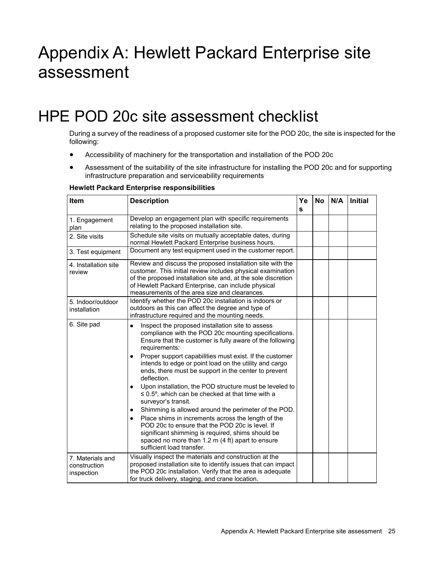# <span id="page-24-1"></span><span id="page-24-0"></span>Appendix A: Hewlett Packard Enterprise site assessment

## HPE POD 20c site assessment checklist

During a survey of the readiness of a proposed customer site for the POD 20c, the site is inspected for the following:

- Accessibility of machinery for the transportation and installation of the POD 20c
- Assessment of the suitability of the site infrastructure for installing the POD 20c and for supporting infrastructure preparation and serviceability requirements

#### **Hewlett Packard Enterprise responsibilities**

| Item                                           | <b>Description</b>                                                                                                                                                                                                                                                                                            | Ye<br>s | <b>No</b> | N/A | <b>Initial</b> |
|------------------------------------------------|---------------------------------------------------------------------------------------------------------------------------------------------------------------------------------------------------------------------------------------------------------------------------------------------------------------|---------|-----------|-----|----------------|
| 1. Engagement<br>plan                          | Develop an engagement plan with specific requirements<br>relating to the proposed installation site.                                                                                                                                                                                                          |         |           |     |                |
| 2. Site visits                                 | Schedule site visits on mutually acceptable dates, during<br>normal Hewlett Packard Enterprise business hours.                                                                                                                                                                                                |         |           |     |                |
| 3. Test equipment                              | Document any test equipment used in the customer report.                                                                                                                                                                                                                                                      |         |           |     |                |
| 4. Installation site<br>review                 | Review and discuss the proposed installation site with the<br>customer. This initial review includes physical examination<br>of the proposed installation site and, at the sole discretion<br>of Hewlett Packard Enterprise, can include physical<br>measurements of the area size and clearances.            |         |           |     |                |
| 5. Indoor/outdoor<br>installation              | Identify whether the POD 20c installation is indoors or<br>outdoors as this can affect the degree and type of<br>infrastructure required and the mounting needs.                                                                                                                                              |         |           |     |                |
| 6. Site pad                                    | Inspect the proposed installation site to assess<br>$\bullet$<br>compliance with the POD 20c mounting specifications.<br>Ensure that the customer is fully aware of the following<br>requirements:                                                                                                            |         |           |     |                |
|                                                | Proper support capabilities must exist. If the customer<br>٠<br>intends to edge or point load on the utility and cargo<br>ends, there must be support in the center to prevent<br>deflection.                                                                                                                 |         |           |     |                |
|                                                | Upon installation, the POD structure must be leveled to<br>٠<br>$\leq$ 0.5°, which can be checked at that time with a<br>surveyor's transit.                                                                                                                                                                  |         |           |     |                |
|                                                | Shimming is allowed around the perimeter of the POD.<br>٠<br>Place shims in increments across the length of the<br>٠<br>POD 20c to ensure that the POD 20c is level. If<br>significant shimming is required, shims should be<br>spaced no more than 1.2 m (4 ft) apart to ensure<br>sufficient load transfer. |         |           |     |                |
| 7. Materials and<br>construction<br>inspection | Visually inspect the materials and construction at the<br>proposed installation site to identify issues that can impact<br>the POD 20c installation. Verify that the area is adequate<br>for truck delivery, staging, and crane location.                                                                     |         |           |     |                |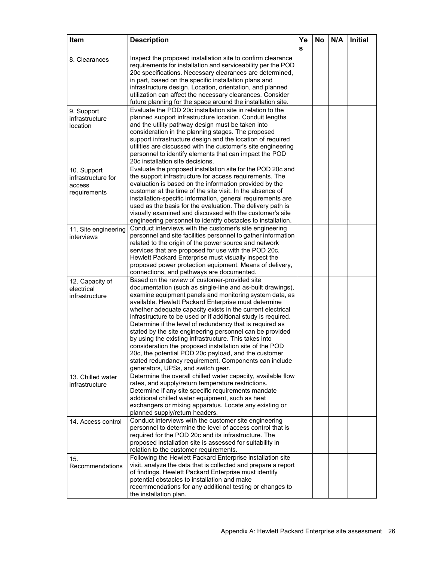| Item                                                        | <b>Description</b>                                                                                                                                                                                                                                                                                                                                                                                                                                                                                                                                                                                                                                                                                                                                               | Ye<br>s | <b>No</b> | N/A | <b>Initial</b> |
|-------------------------------------------------------------|------------------------------------------------------------------------------------------------------------------------------------------------------------------------------------------------------------------------------------------------------------------------------------------------------------------------------------------------------------------------------------------------------------------------------------------------------------------------------------------------------------------------------------------------------------------------------------------------------------------------------------------------------------------------------------------------------------------------------------------------------------------|---------|-----------|-----|----------------|
| 8. Clearances                                               | Inspect the proposed installation site to confirm clearance<br>requirements for installation and serviceability per the POD<br>20c specifications. Necessary clearances are determined,<br>in part, based on the specific installation plans and                                                                                                                                                                                                                                                                                                                                                                                                                                                                                                                 |         |           |     |                |
|                                                             | infrastructure design. Location, orientation, and planned<br>utilization can affect the necessary clearances. Consider<br>future planning for the space around the installation site.                                                                                                                                                                                                                                                                                                                                                                                                                                                                                                                                                                            |         |           |     |                |
| 9. Support<br>infrastructure<br>location                    | Evaluate the POD 20c installation site in relation to the<br>planned support infrastructure location. Conduit lengths<br>and the utility pathway design must be taken into<br>consideration in the planning stages. The proposed<br>support infrastructure design and the location of required                                                                                                                                                                                                                                                                                                                                                                                                                                                                   |         |           |     |                |
|                                                             | utilities are discussed with the customer's site engineering<br>personnel to identify elements that can impact the POD<br>20c installation site decisions.                                                                                                                                                                                                                                                                                                                                                                                                                                                                                                                                                                                                       |         |           |     |                |
| 10. Support<br>infrastructure for<br>access<br>requirements | Evaluate the proposed installation site for the POD 20c and<br>the support infrastructure for access requirements. The<br>evaluation is based on the information provided by the<br>customer at the time of the site visit. In the absence of<br>installation-specific information, general requirements are<br>used as the basis for the evaluation. The delivery path is<br>visually examined and discussed with the customer's site                                                                                                                                                                                                                                                                                                                           |         |           |     |                |
| 11. Site engineering<br>interviews                          | engineering personnel to identify obstacles to installation.<br>Conduct interviews with the customer's site engineering<br>personnel and site facilities personnel to gather information<br>related to the origin of the power source and network                                                                                                                                                                                                                                                                                                                                                                                                                                                                                                                |         |           |     |                |
|                                                             | services that are proposed for use with the POD 20c.<br>Hewlett Packard Enterprise must visually inspect the<br>proposed power protection equipment. Means of delivery,<br>connections, and pathways are documented.                                                                                                                                                                                                                                                                                                                                                                                                                                                                                                                                             |         |           |     |                |
| 12. Capacity of<br>electrical<br>infrastructure             | Based on the review of customer-provided site<br>documentation (such as single-line and as-built drawings),<br>examine equipment panels and monitoring system data, as<br>available. Hewlett Packard Enterprise must determine<br>whether adequate capacity exists in the current electrical<br>infrastructure to be used or if additional study is required.<br>Determine if the level of redundancy that is required as<br>stated by the site engineering personnel can be provided<br>by using the existing infrastructure. This takes into<br>consideration the proposed installation site of the POD<br>20c, the potential POD 20c payload, and the customer<br>stated redundancy requirement. Components can include<br>generators, UPSs, and switch gear. |         |           |     |                |
| 13. Chilled water<br>infrastructure                         | Determine the overall chilled water capacity, available flow<br>rates, and supply/return temperature restrictions.<br>Determine if any site specific requirements mandate<br>additional chilled water equipment, such as heat<br>exchangers or mixing apparatus. Locate any existing or<br>planned supply/return headers.                                                                                                                                                                                                                                                                                                                                                                                                                                        |         |           |     |                |
| 14. Access control                                          | Conduct interviews with the customer site engineering<br>personnel to determine the level of access control that is<br>required for the POD 20c and its infrastructure. The<br>proposed installation site is assessed for suitability in<br>relation to the customer requirements.                                                                                                                                                                                                                                                                                                                                                                                                                                                                               |         |           |     |                |
| 15.<br>Recommendations                                      | Following the Hewlett Packard Enterprise installation site<br>visit, analyze the data that is collected and prepare a report<br>of findings. Hewlett Packard Enterprise must identify<br>potential obstacles to installation and make<br>recommendations for any additional testing or changes to<br>the installation plan.                                                                                                                                                                                                                                                                                                                                                                                                                                      |         |           |     |                |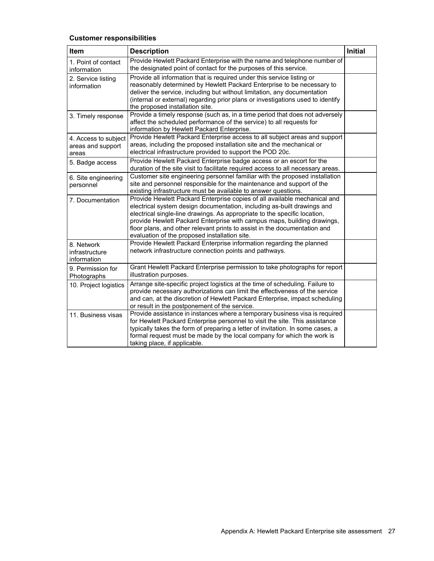### **Customer responsibilities**

| Item                                               | <b>Description</b>                                                                                                                                                                                                                                                                                                                                                                                                                         | <b>Initial</b> |
|----------------------------------------------------|--------------------------------------------------------------------------------------------------------------------------------------------------------------------------------------------------------------------------------------------------------------------------------------------------------------------------------------------------------------------------------------------------------------------------------------------|----------------|
| 1. Point of contact<br>information                 | Provide Hewlett Packard Enterprise with the name and telephone number of<br>the designated point of contact for the purposes of this service.                                                                                                                                                                                                                                                                                              |                |
| 2. Service listing<br>information                  | Provide all information that is required under this service listing or<br>reasonably determined by Hewlett Packard Enterprise to be necessary to<br>deliver the service, including but without limitation, any documentation<br>(internal or external) regarding prior plans or investigations used to identify<br>the proposed installation site.                                                                                         |                |
| 3. Timely response                                 | Provide a timely response (such as, in a time period that does not adversely<br>affect the scheduled performance of the service) to all requests for<br>information by Hewlett Packard Enterprise.                                                                                                                                                                                                                                         |                |
| 4. Access to subject<br>areas and support<br>areas | Provide Hewlett Packard Enterprise access to all subject areas and support<br>areas, including the proposed installation site and the mechanical or<br>electrical infrastructure provided to support the POD 20c.                                                                                                                                                                                                                          |                |
| 5. Badge access                                    | Provide Hewlett Packard Enterprise badge access or an escort for the<br>duration of the site visit to facilitate required access to all necessary areas.                                                                                                                                                                                                                                                                                   |                |
| 6. Site engineering<br>personnel                   | Customer site engineering personnel familiar with the proposed installation<br>site and personnel responsible for the maintenance and support of the<br>existing infrastructure must be available to answer questions.                                                                                                                                                                                                                     |                |
| 7. Documentation                                   | Provide Hewlett Packard Enterprise copies of all available mechanical and<br>electrical system design documentation, including as-built drawings and<br>electrical single-line drawings. As appropriate to the specific location,<br>provide Hewlett Packard Enterprise with campus maps, building drawings,<br>floor plans, and other relevant prints to assist in the documentation and<br>evaluation of the proposed installation site. |                |
| 8. Network<br>infrastructure<br>information        | Provide Hewlett Packard Enterprise information regarding the planned<br>network infrastructure connection points and pathways.                                                                                                                                                                                                                                                                                                             |                |
| 9. Permission for<br>Photographs                   | Grant Hewlett Packard Enterprise permission to take photographs for report<br>illustration purposes.                                                                                                                                                                                                                                                                                                                                       |                |
| 10. Project logistics                              | Arrange site-specific project logistics at the time of scheduling. Failure to<br>provide necessary authorizations can limit the effectiveness of the service<br>and can, at the discretion of Hewlett Packard Enterprise, impact scheduling<br>or result in the postponement of the service.                                                                                                                                               |                |
| 11. Business visas                                 | Provide assistance in instances where a temporary business visa is required<br>for Hewlett Packard Enterprise personnel to visit the site. This assistance<br>typically takes the form of preparing a letter of invitation. In some cases, a<br>formal request must be made by the local company for which the work is<br>taking place, if applicable.                                                                                     |                |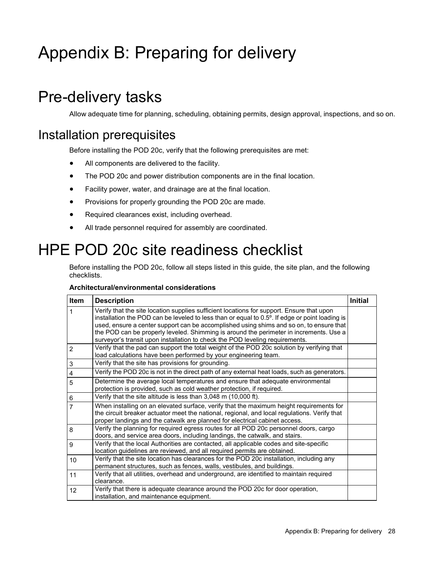# <span id="page-27-0"></span>Appendix B: Preparing for delivery

## Pre-delivery tasks

Allow adequate time for planning, scheduling, obtaining permits, design approval, inspections, and so on.

## Installation prerequisites

Before installing the POD 20c, verify that the following prerequisites are met:

- All components are delivered to the facility.
- The POD 20c and power distribution components are in the final location.
- Facility power, water, and drainage are at the final location.
- Provisions for properly grounding the POD 20c are made.
- Required clearances exist, including overhead.
- All trade personnel required for assembly are coordinated.

## <span id="page-27-1"></span>HPE POD 20c site readiness checklist

Before installing the POD 20c, follow all steps listed in this guide, the site plan, and the following checklists.

#### **Architectural/environmental considerations**

| Item                      | <b>Description</b>                                                                             | <b>Initial</b> |
|---------------------------|------------------------------------------------------------------------------------------------|----------------|
| 1                         | Verify that the site location supplies sufficient locations for support. Ensure that upon      |                |
|                           | installation the POD can be leveled to less than or equal to 0.5°. If edge or point loading is |                |
|                           | used, ensure a center support can be accomplished using shims and so on, to ensure that        |                |
|                           | the POD can be properly leveled. Shimming is around the perimeter in increments. Use a         |                |
|                           | surveyor's transit upon installation to check the POD leveling requirements.                   |                |
| $\overline{2}$            | Verify that the pad can support the total weight of the POD 20c solution by verifying that     |                |
|                           | load calculations have been performed by your engineering team.                                |                |
| $\ensuremath{\mathsf{3}}$ | Verify that the site has provisions for grounding.                                             |                |
| $\overline{\mathbf{4}}$   | Verify the POD 20c is not in the direct path of any external heat loads, such as generators.   |                |
| 5                         | Determine the average local temperatures and ensure that adequate environmental                |                |
|                           | protection is provided, such as cold weather protection, if required.                          |                |
| 6                         | Verify that the site altitude is less than 3,048 m (10,000 ft).                                |                |
| 7                         | When installing on an elevated surface, verify that the maximum height requirements for        |                |
|                           | the circuit breaker actuator meet the national, regional, and local regulations. Verify that   |                |
|                           | proper landings and the catwalk are planned for electrical cabinet access.                     |                |
| 8                         | Verify the planning for required egress routes for all POD 20c personnel doors, cargo          |                |
|                           | doors, and service area doors, including landings, the catwalk, and stairs.                    |                |
| 9                         | Verify that the local Authorities are contacted, all applicable codes and site-specific        |                |
|                           | location guidelines are reviewed, and all required permits are obtained.                       |                |
| 10                        | Verify that the site location has clearances for the POD 20c installation, including any       |                |
|                           | permanent structures, such as fences, walls, vestibules, and buildings.                        |                |
| 11                        | Verify that all utilities, overhead and underground, are identified to maintain required       |                |
|                           | clearance.                                                                                     |                |
| 12                        | Verify that there is adequate clearance around the POD 20c for door operation,                 |                |
|                           | installation, and maintenance equipment.                                                       |                |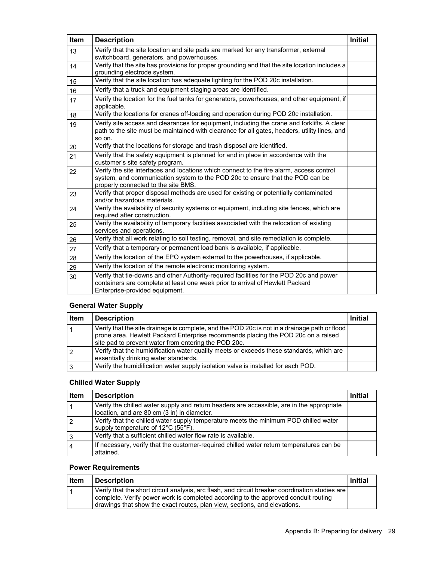| Item | <b>Description</b>                                                                                                                                                                                               | <b>Initial</b> |
|------|------------------------------------------------------------------------------------------------------------------------------------------------------------------------------------------------------------------|----------------|
| 13   | Verify that the site location and site pads are marked for any transformer, external<br>switchboard, generators, and powerhouses.                                                                                |                |
| 14   | Verify that the site has provisions for proper grounding and that the site location includes a<br>grounding electrode system.                                                                                    |                |
| 15   | Verify that the site location has adequate lighting for the POD 20c installation.                                                                                                                                |                |
| 16   | Verify that a truck and equipment staging areas are identified.                                                                                                                                                  |                |
| 17   | Verify the location for the fuel tanks for generators, powerhouses, and other equipment, if<br>applicable.                                                                                                       |                |
| 18   | Verify the locations for cranes off-loading and operation during POD 20c installation.                                                                                                                           |                |
| 19   | Verify site access and clearances for equipment, including the crane and forklifts. A clear<br>path to the site must be maintained with clearance for all gates, headers, utility lines, and<br>so on.           |                |
| 20   | Verify that the locations for storage and trash disposal are identified.                                                                                                                                         |                |
| 21   | Verify that the safety equipment is planned for and in place in accordance with the<br>customer's site safety program.                                                                                           |                |
| 22   | Verify the site interfaces and locations which connect to the fire alarm, access control<br>system, and communication system to the POD 20c to ensure that the POD can be<br>properly connected to the site BMS. |                |
| 23   | Verify that proper disposal methods are used for existing or potentially contaminated<br>and/or hazardous materials.                                                                                             |                |
| 24   | Verify the availability of security systems or equipment, including site fences, which are<br>required after construction.                                                                                       |                |
| 25   | Verify the availability of temporary facilities associated with the relocation of existing<br>services and operations.                                                                                           |                |
| 26   | Verify that all work relating to soil testing, removal, and site remediation is complete.                                                                                                                        |                |
| 27   | Verify that a temporary or permanent load bank is available, if applicable.                                                                                                                                      |                |
| 28   | Verify the location of the EPO system external to the powerhouses, if applicable.                                                                                                                                |                |
| 29   | Verify the location of the remote electronic monitoring system.                                                                                                                                                  |                |
| 30   | Verify that tie-downs and other Authority-required facilities for the POD 20c and power<br>containers are complete at least one week prior to arrival of Hewlett Packard<br>Enterprise-provided equipment.       |                |

### **General Water Supply**

| <b>Item</b> | <b>Description</b>                                                                                                                                                                                                                         | <b>Initial</b> |
|-------------|--------------------------------------------------------------------------------------------------------------------------------------------------------------------------------------------------------------------------------------------|----------------|
|             | Verify that the site drainage is complete, and the POD 20c is not in a drainage path or flood<br>prone area. Hewlett Packard Enterprise recommends placing the POD 20c on a raised<br>site pad to prevent water from entering the POD 20c. |                |
|             | Verify that the humidification water quality meets or exceeds these standards, which are<br>essentially drinking water standards.                                                                                                          |                |
| 3           | Verify the humidification water supply isolation valve is installed for each POD.                                                                                                                                                          |                |

### **Chilled Water Supply**

| <b>Item</b>    | <b>Description</b>                                                                        | Initial |
|----------------|-------------------------------------------------------------------------------------------|---------|
|                | Verify the chilled water supply and return headers are accessible, are in the appropriate |         |
|                | location, and are 80 cm (3 in) in diameter.                                               |         |
| $\overline{2}$ | Verify that the chilled water supply temperature meets the minimum POD chilled water      |         |
|                | supply temperature of 12°C (55°F).                                                        |         |
| 3              | Verify that a sufficient chilled water flow rate is available.                            |         |
| $\overline{4}$ | If necessary, verify that the customer-required chilled water return temperatures can be  |         |
|                | attained.                                                                                 |         |

### **Power Requirements**

| Item | <b>Description</b>                                                                                                                                                                                                                                                 | <b>Initial</b> |
|------|--------------------------------------------------------------------------------------------------------------------------------------------------------------------------------------------------------------------------------------------------------------------|----------------|
|      | Verify that the short circuit analysis, arc flash, and circuit breaker coordination studies are<br>complete. Verify power work is completed according to the approved conduit routing<br>drawings that show the exact routes, plan view, sections, and elevations. |                |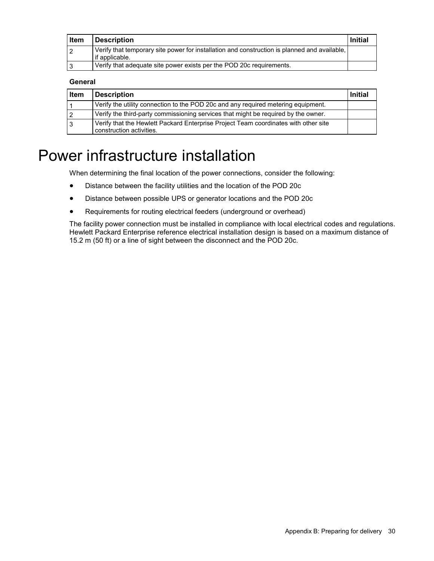<span id="page-29-0"></span>

| Item | <b>Description</b>                                                                                             | <b>Initial</b> |
|------|----------------------------------------------------------------------------------------------------------------|----------------|
|      | Verify that temporary site power for installation and construction is planned and available,<br>if applicable. |                |
|      | Verify that adequate site power exists per the POD 20c requirements.                                           |                |

#### **General**

| <b>Item</b> | <b>Description</b>                                                                                              | <b>Initial</b> |
|-------------|-----------------------------------------------------------------------------------------------------------------|----------------|
|             | Verify the utility connection to the POD 20c and any required metering equipment.                               |                |
| 2           | Verify the third-party commissioning services that might be required by the owner.                              |                |
| 3           | Verify that the Hewlett Packard Enterprise Project Team coordinates with other site<br>construction activities. |                |

## Power infrastructure installation

When determining the final location of the power connections, consider the following:

- Distance between the facility utilities and the location of the POD 20c
- Distance between possible UPS or generator locations and the POD 20c
- Requirements for routing electrical feeders (underground or overhead)

The facility power connection must be installed in compliance with local electrical codes and regulations. Hewlett Packard Enterprise reference electrical installation design is based on a maximum distance of 15.2 m (50 ft) or a line of sight between the disconnect and the POD 20c.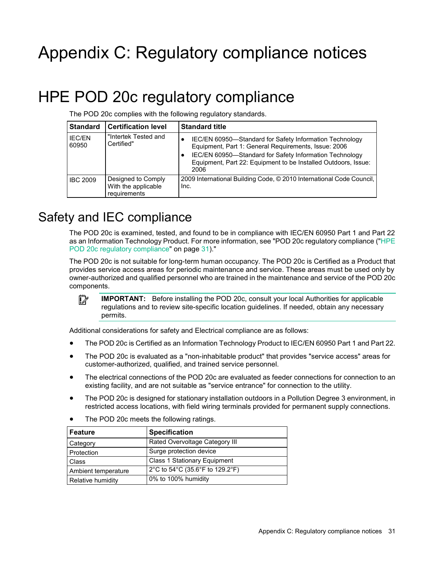# <span id="page-30-0"></span>Appendix C: Regulatory compliance notices

## <span id="page-30-1"></span>HPE POD 20c regulatory compliance

The POD 20c complies with the following regulatory standards.

| <b>Standard</b>        | <b>Certification level</b>                                | <b>Standard title</b>                                                                                                                                                                                                                                |
|------------------------|-----------------------------------------------------------|------------------------------------------------------------------------------------------------------------------------------------------------------------------------------------------------------------------------------------------------------|
| <b>IEC/EN</b><br>60950 | "Intertek Tested and<br>Certified"                        | IEC/EN 60950-Standard for Safety Information Technology<br>Equipment, Part 1: General Requirements, Issue: 2006<br>IEC/EN 60950-Standard for Safety Information Technology<br>Equipment, Part 22: Equipment to be Installed Outdoors, Issue:<br>2006 |
| <b>IBC 2009</b>        | Designed to Comply<br>With the applicable<br>requirements | 2009 International Building Code, © 2010 International Code Council,<br>Inc.                                                                                                                                                                         |

## Safety and IEC compliance

The POD 20c is examined, tested, and found to be in compliance with IEC/EN 60950 Part 1 and Part 22 as an Information Technology Product. For more information, see "POD 20c regulatory compliance (["HPE](#page-30-1)  [POD 20c regulatory compliance"](#page-30-1) on page [31\)](#page-30-1)."

The POD 20c is not suitable for long-term human occupancy. The POD 20c is Certified as a Product that provides service access areas for periodic maintenance and service. These areas must be used only by owner-authorized and qualified personnel who are trained in the maintenance and service of the POD 20c components.

 $\mathbb{Z}$ **IMPORTANT:** Before installing the POD 20c, consult your local Authorities for applicable regulations and to review site-specific location guidelines. If needed, obtain any necessary permits.

Additional considerations for safety and Electrical compliance are as follows:

- The POD 20c is Certified as an Information Technology Product to IEC/EN 60950 Part 1 and Part 22.
- The POD 20c is evaluated as a "non-inhabitable product" that provides "service access" areas for customer-authorized, qualified, and trained service personnel.
- The electrical connections of the POD 20c are evaluated as feeder connections for connection to an existing facility, and are not suitable as "service entrance" for connection to the utility.
- The POD 20c is designed for stationary installation outdoors in a Pollution Degree 3 environment, in restricted access locations, with field wiring terminals provided for permanent supply connections.
- The POD 20c meets the following ratings.

| Feature             | <b>Specification</b>                |
|---------------------|-------------------------------------|
| Category            | Rated Overvoltage Category III      |
| Protection          | Surge protection device             |
| <b>Class</b>        | <b>Class 1 Stationary Equipment</b> |
| Ambient temperature | 2°C to 54°C (35.6°F to 129.2°F)     |
| Relative humidity   | 0% to 100% humidity                 |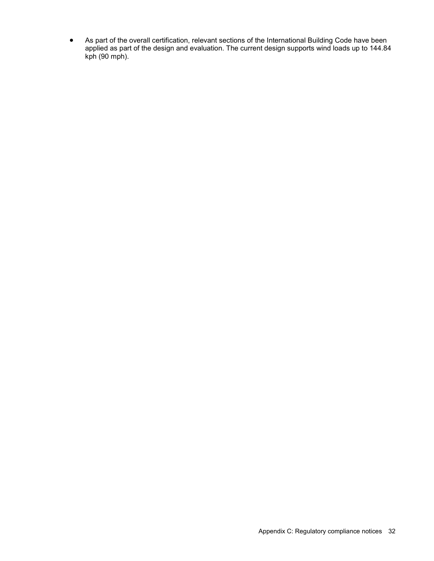• As part of the overall certification, relevant sections of the International Building Code have been applied as part of the design and evaluation. The current design supports wind loads up to 144.84 kph (90 mph).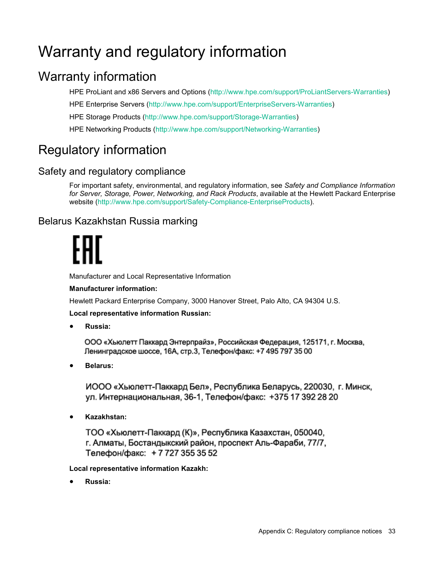# <span id="page-32-0"></span>Warranty and regulatory information

## Warranty information

HPE ProLiant and x86 Servers and Options [\(http://www.hpe.com/support/ProLiantServers-Warranties\)](http://www.hpe.com/support/ProLiantServers-Warranties) HPE Enterprise Servers [\(http://www.hpe.com/support/EnterpriseServers-Warranties\)](http://www.hpe.com/support/EnterpriseServers-Warranties) HPE Storage Products [\(http://www.hpe.com/support/Storage-Warranties\)](http://www.hpe.com/support/Storage-Warranties) HPE Networking Products [\(http://www.hpe.com/support/Networking-Warranties\)](http://www.hpe.com/support/Networking-Warranties)

## Regulatory information

### Safety and regulatory compliance

For important safety, environmental, and regulatory information, see *Safety and Compliance Information for Server, Storage, Power, Networking, and Rack Products*, available at the Hewlett Packard Enterprise website [\(http://www.hpe.com/support/Safety-Compliance-EnterpriseProducts\)](http://www.hpe.com/support/Safety-Compliance-EnterpriseProducts).

### Belarus Kazakhstan Russia marking

Manufacturer and Local Representative Information

### **Manufacturer information:**

Hewlett Packard Enterprise Company, 3000 Hanover Street, Palo Alto, CA 94304 U.S.

**Local representative information Russian:**

• **Russia:**

ООО «Хьюлетт Паккард Энтерпрайз», Российская Федерация, 125171, г. Москва, Ленинградское шоссе, 16А, стр.3, Телефон/факс: +7 495 797 35 00

• **Belarus:**

ИООО «Хьюлетт-Паккард Бел», Республика Беларусь, 220030, г. Минск, ул. Интернациональная, 36-1, Телефон/факс: +375 17 392 28 20

• **Kazakhstan:**

ТОО «Хьюлетт-Паккард (К)», Республика Казахстан, 050040, г. Алматы, Бостандыкский район, проспект Аль-Фараби, 77/7, Телефон/факс: +77273553552

**Local representative information Kazakh:**

• **Russia:**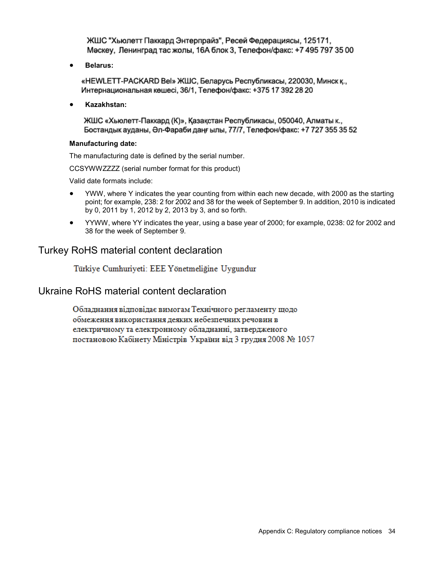ЖШС "Хьюлетт Паккард Энтерпрайз", Ресей Федерациясы, 125171, Мәскеу, Ленинград тас жолы, 16А блок 3, Телефон/факс: +7 495 797 35 00

• **Belarus:**

«НЕWLETT-PACKARD Bel» ЖШС, Беларусь Республикасы, 220030, Минск к., Интернациональная көшесі, 36/1, Телефон/факс: +375 17 392 28 20

• **Kazakhstan:**

ЖШС «Хьюлетт-Паккард (К)», Қазақстан Республикасы, 050040, Алматы к., Бостандык ауданы, Әл-Фараби даңғылы, 77/7, Телефон/факс: +7 727 355 35 52

#### **Manufacturing date:**

The manufacturing date is defined by the serial number.

CCSYWWZZZZ (serial number format for this product)

Valid date formats include:

- YWW, where Y indicates the year counting from within each new decade, with 2000 as the starting point; for example, 238: 2 for 2002 and 38 for the week of September 9. In addition, 2010 is indicated by 0, 2011 by 1, 2012 by 2, 2013 by 3, and so forth.
- YYWW, where YY indicates the year, using a base year of 2000; for example, 0238: 02 for 2002 and 38 for the week of September 9.

### Turkey RoHS material content declaration

Türkiye Cumhuriyeti: EEE Yönetmeliğine Uygundur

### Ukraine RoHS material content declaration

Обладнання відповідає вимогам Технічного регламенту щодо обмеження використання деяких небезпечних речовин в електричному та електронному обладнанні, затвердженого постановою Кабінету Міністрів України від 3 грудня 2008 № 1057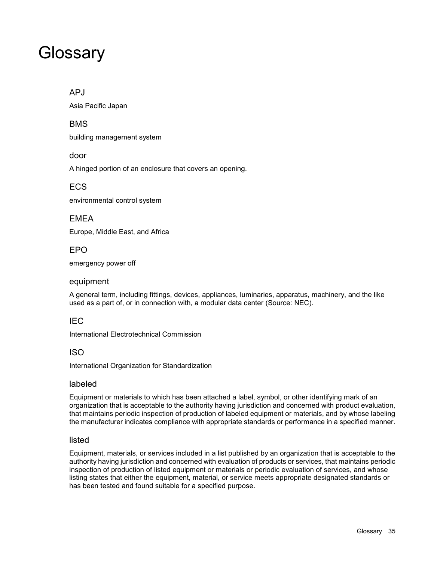## <span id="page-34-0"></span>**Glossary**

### APJ

Asia Pacific Japan

### BMS

building management system

door

A hinged portion of an enclosure that covers an opening.

### ECS

environmental control system

### EMEA

Europe, Middle East, and Africa

### EPO

emergency power off

### equipment

A general term, including fittings, devices, appliances, luminaries, apparatus, machinery, and the like used as a part of, or in connection with, a modular data center (Source: NEC).

### IEC

International Electrotechnical Commission

### ISO

International Organization for Standardization

### labeled

Equipment or materials to which has been attached a label, symbol, or other identifying mark of an organization that is acceptable to the authority having jurisdiction and concerned with product evaluation, that maintains periodic inspection of production of labeled equipment or materials, and by whose labeling the manufacturer indicates compliance with appropriate standards or performance in a specified manner.

### listed

Equipment, materials, or services included in a list published by an organization that is acceptable to the authority having jurisdiction and concerned with evaluation of products or services, that maintains periodic inspection of production of listed equipment or materials or periodic evaluation of services, and whose listing states that either the equipment, material, or service meets appropriate designated standards or has been tested and found suitable for a specified purpose.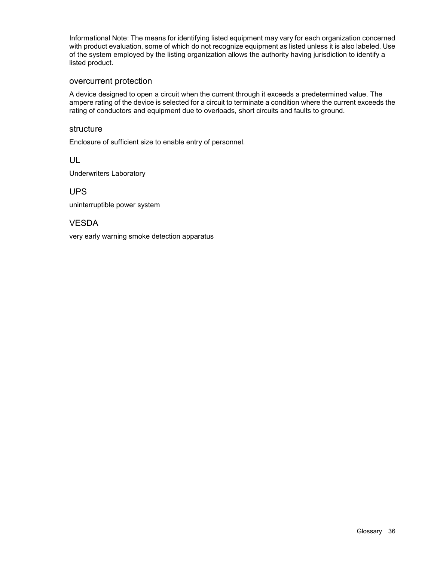Informational Note: The means for identifying listed equipment may vary for each organization concerned with product evaluation, some of which do not recognize equipment as listed unless it is also labeled. Use of the system employed by the listing organization allows the authority having jurisdiction to identify a listed product.

#### overcurrent protection

A device designed to open a circuit when the current through it exceeds a predetermined value. The ampere rating of the device is selected for a circuit to terminate a condition where the current exceeds the rating of conductors and equipment due to overloads, short circuits and faults to ground.

#### structure

Enclosure of sufficient size to enable entry of personnel.

UL

Underwriters Laboratory

UPS

uninterruptible power system

### VESDA

very early warning smoke detection apparatus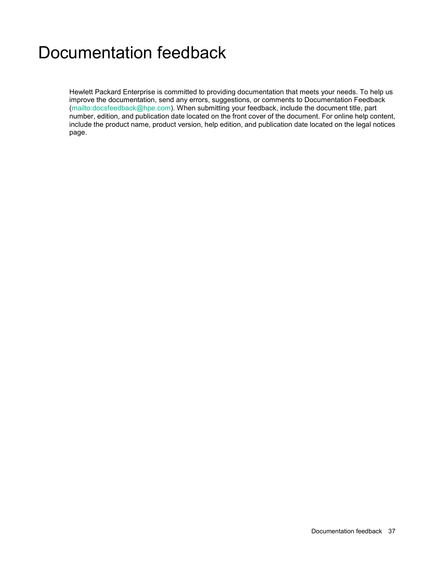# <span id="page-36-0"></span>Documentation feedback

Hewlett Packard Enterprise is committed to providing documentation that meets your needs. To help us improve the documentation, send any errors, suggestions, or comments to Documentation Feedback [\(mailto:docsfeedback@hpe.com\)](mailto:docsfeedback@hpe.com). When submitting your feedback, include the document title, part number, edition, and publication date located on the front cover of the document. For online help content, include the product name, product version, help edition, and publication date located on the legal notices page.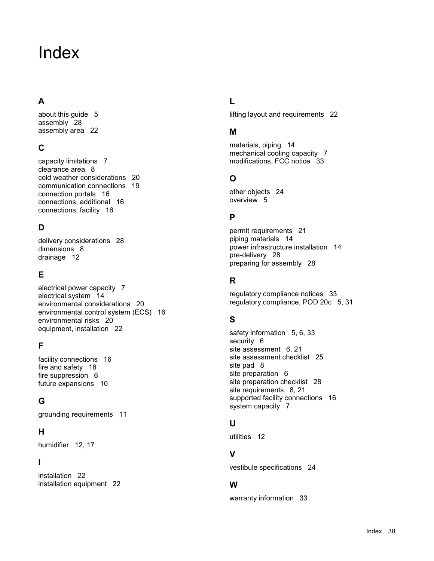# <span id="page-37-0"></span>Index

### **A**

about this guide [5](#page-4-0) assembly [28](#page-27-0) assembly area [22](#page-21-0)

### **C**

capacity limitations [7](#page-6-0) clearance area [8](#page-7-0) cold weather considerations [20](#page-19-0) communication connections [19](#page-18-0) connection portals [16](#page-15-0) connections, additional [16](#page-15-0) connections, facility [16](#page-15-0)

### **D**

delivery considerations [28](#page-27-0) dimensions [8](#page-7-0) drainage [12](#page-11-0)

### **E**

electrical power capacity [7](#page-6-0) electrical system [14](#page-13-0) environmental considerations [20](#page-19-0) environmental control system (ECS) [16](#page-15-0) environmental risks [20](#page-19-0) equipment, installation [22](#page-21-0)

### **F**

facility connections [16](#page-15-0) fire and safety [18](#page-17-0) fire suppression [6](#page-5-0) future expansions [10](#page-9-0)

### **G**

grounding requirements [11](#page-10-0)

### **H**

humidifier [12,](#page-11-0) [17](#page-16-0)

### **I**

installation [22](#page-21-0) installation equipment [22](#page-21-0)

### **L**

lifting layout and requirements [22](#page-21-0)

### **M**

materials, piping [14](#page-13-0) mechanical cooling capacity [7](#page-6-0) modifications, FCC notice [33](#page-32-0)

### **O**

other objects [24](#page-23-1) overview [5](#page-4-0)

### **P**

permit requirements [21](#page-20-0) piping materials [14](#page-13-0) power infrastructure installation [14](#page-13-0) pre-delivery [28](#page-27-0) preparing for assembly [28](#page-27-0)

### **R**

regulatory compliance notices [33](#page-32-0) regulatory compliance, POD 20c [5,](#page-4-0) [31](#page-30-0)

### **S**

safety information [5](#page-4-0), [6,](#page-5-0) [33](#page-32-0) security [6](#page-5-0) site assessment [6](#page-5-0), [21](#page-20-0) site assessment checklist [25](#page-24-0) site pad [8](#page-7-0) site preparation [6](#page-5-0) site preparation checklist [28](#page-27-0) site requirements [8](#page-7-0), [21](#page-20-0) supported facility connections [16](#page-15-0) system capacity [7](#page-6-0)

### **U**

utilities [12](#page-11-0)

### **V**

vestibule specifications [24](#page-23-1)

### **W**

warranty information [33](#page-32-0)